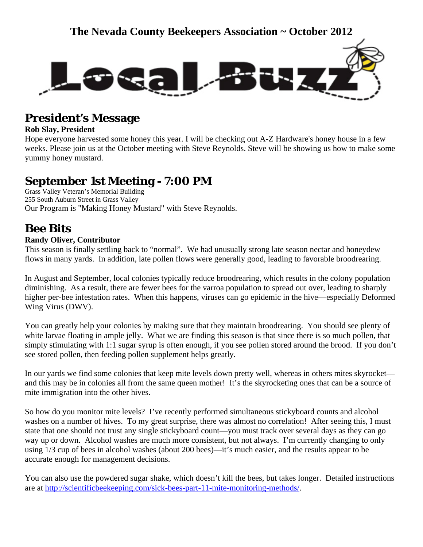

## **President's Message**

### **Rob Slay, President**

Hope everyone harvested some honey this year. I will be checking out A-Z Hardware's honey house in a few weeks. Please join us at the October meeting with Steve Reynolds. Steve will be showing us how to make some yummy honey mustard.

## **September 1st Meeting - 7:00 PM**

Grass Valley Veteran's Memorial Building 255 South Auburn Street in Grass Valley Our Program is "Making Honey Mustard" with Steve Reynolds.

## **Bee Bits**

### **Randy Oliver, Contributor**

This season is finally settling back to "normal". We had unusually strong late season nectar and honeydew flows in many yards. In addition, late pollen flows were generally good, leading to favorable broodrearing.

In August and September, local colonies typically reduce broodrearing, which results in the colony population diminishing. As a result, there are fewer bees for the varroa population to spread out over, leading to sharply higher per-bee infestation rates. When this happens, viruses can go epidemic in the hive—especially Deformed Wing Virus (DWV).

You can greatly help your colonies by making sure that they maintain broodrearing. You should see plenty of white larvae floating in ample jelly. What we are finding this season is that since there is so much pollen, that simply stimulating with 1:1 sugar syrup is often enough, if you see pollen stored around the brood. If you don't see stored pollen, then feeding pollen supplement helps greatly.

In our yards we find some colonies that keep mite levels down pretty well, whereas in others mites skyrocket and this may be in colonies all from the same queen mother! It's the skyrocketing ones that can be a source of mite immigration into the other hives.

So how do you monitor mite levels? I've recently performed simultaneous stickyboard counts and alcohol washes on a number of hives. To my great surprise, there was almost no correlation! After seeing this, I must state that one should not trust any single stickyboard count—you must track over several days as they can go way up or down. Alcohol washes are much more consistent, but not always. I'm currently changing to only using 1/3 cup of bees in alcohol washes (about 200 bees)—it's much easier, and the results appear to be accurate enough for management decisions.

You can also use the powdered sugar shake, which doesn't kill the bees, but takes longer. Detailed instructions are at [http://scientificbeekeeping.com/sick-bees-part-11-mite-monitoring-methods/.](http://scientificbeekeeping.com/sick-bees-part-11-mite-monitoring-methods/)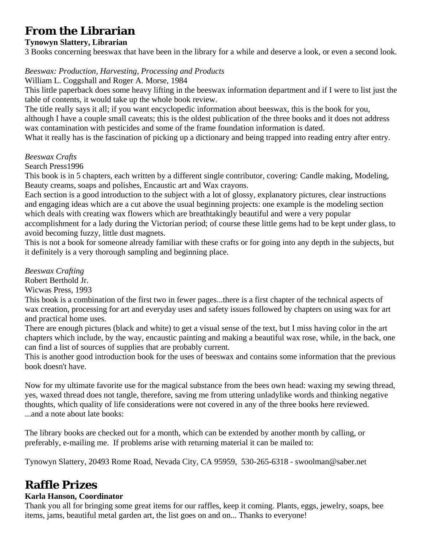## **From the Librarian**

### **Tynowyn Slattery, Librarian**

3 Books concerning beeswax that have been in the library for a while and deserve a look, or even a second look.

### *Beeswax: Production, Harvesting, Processing and Products*

William L. Coggshall and Roger A. Morse, 1984

This little paperback does some heavy lifting in the beeswax information department and if I were to list just the table of contents, it would take up the whole book review.

The title really says it all; if you want encyclopedic information about beeswax, this is the book for you, although I have a couple small caveats; this is the oldest publication of the three books and it does not address wax contamination with pesticides and some of the frame foundation information is dated.

What it really has is the fascination of picking up a dictionary and being trapped into reading entry after entry.

### *Beeswax Crafts*

Search Press1996

This book is in 5 chapters, each written by a different single contributor, covering: Candle making, Modeling, Beauty creams, soaps and polishes, Encaustic art and Wax crayons.

Each section is a good introduction to the subject with a lot of glossy, explanatory pictures, clear instructions and engaging ideas which are a cut above the usual beginning projects: one example is the modeling section which deals with creating wax flowers which are breathtakingly beautiful and were a very popular accomplishment for a lady during the Victorian period; of course these little gems had to be kept under glass, to avoid becoming fuzzy, little dust magnets.

This is not a book for someone already familiar with these crafts or for going into any depth in the subjects, but it definitely is a very thorough sampling and beginning place.

*Beeswax Crafting* 

Robert Berthold Jr.

Wicwas Press, 1993

This book is a combination of the first two in fewer pages...there is a first chapter of the technical aspects of wax creation, processing for art and everyday uses and safety issues followed by chapters on using wax for art and practical home uses.

There are enough pictures (black and white) to get a visual sense of the text, but I miss having color in the art chapters which include, by the way, encaustic painting and making a beautiful wax rose, while, in the back, one can find a list of sources of supplies that are probably current.

This is another good introduction book for the uses of beeswax and contains some information that the previous book doesn't have.

Now for my ultimate favorite use for the magical substance from the bees own head: waxing my sewing thread, yes, waxed thread does not tangle, therefore, saving me from uttering unladylike words and thinking negative thoughts, which quality of life considerations were not covered in any of the three books here reviewed. ...and a note about late books:

The library books are checked out for a month, which can be extended by another month by calling, or preferably, e-mailing me. If problems arise with returning material it can be mailed to:

Tynowyn Slattery, 20493 Rome Road, Nevada City, CA 95959, 530-265-6318 - swoolman@saber.net

## **Raffle Prizes**

### **Karla Hanson, Coordinator**

Thank you all for bringing some great items for our raffles, keep it coming. Plants, eggs, jewelry, soaps, bee items, jams, beautiful metal garden art, the list goes on and on... Thanks to everyone!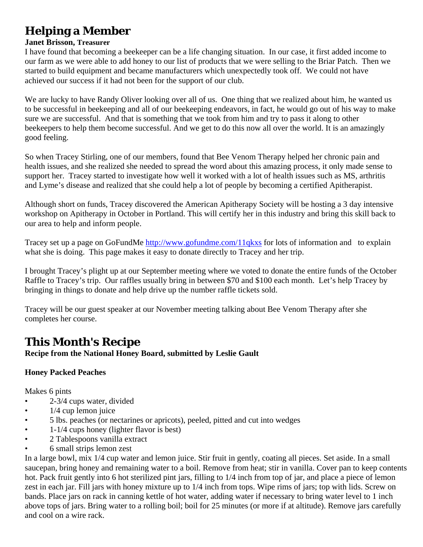## **Helping a Member**

#### **Janet Brisson, Treasurer**

I have found that becoming a beekeeper can be a life changing situation. In our case, it first added income to our farm as we were able to add honey to our list of products that we were selling to the Briar Patch. Then we started to build equipment and became manufacturers which unexpectedly took off. We could not have achieved our success if it had not been for the support of our club.

We are lucky to have Randy Oliver looking over all of us. One thing that we realized about him, he wanted us to be successful in beekeeping and all of our beekeeping endeavors, in fact, he would go out of his way to make sure we are successful. And that is something that we took from him and try to pass it along to other beekeepers to help them become successful. And we get to do this now all over the world. It is an amazingly good feeling.

So when Tracey Stirling, one of our members, found that Bee Venom Therapy helped her chronic pain and health issues, and she realized she needed to spread the word about this amazing process, it only made sense to support her. Tracey started to investigate how well it worked with a lot of health issues such as MS, arthritis and Lyme's disease and realized that she could help a lot of people by becoming a certified Apitherapist.

Although short on funds, Tracey discovered the American Apitherapy Society will be hosting a 3 day intensive workshop on Apitherapy in October in Portland. This will certify her in this industry and bring this skill back to our area to help and inform people.

Tracey set up a page on GoFundMe <http://www.gofundme.com/11qkxs>for lots of information and to explain what she is doing. This page makes it easy to donate directly to Tracey and her trip.

I brought Tracey's plight up at our September meeting where we voted to donate the entire funds of the October Raffle to Tracey's trip. Our raffles usually bring in between \$70 and \$100 each month. Let's help Tracey by bringing in things to donate and help drive up the number raffle tickets sold.

Tracey will be our guest speaker at our November meeting talking about Bee Venom Therapy after she completes her course.

## **This Month's Recipe**

**Recipe from the National Honey Board, submitted by Leslie Gault** 

### **Honey Packed Peaches**

Makes 6 pints

- 2-3/4 cups water, divided
- $\bullet$  1/4 cup lemon juice
- 5 lbs. peaches (or nectarines or apricots), peeled, pitted and cut into wedges
- 1-1/4 cups honey (lighter flavor is best)
- 2 Tablespoons vanilla extract
- 6 small strips lemon zest

In a large bowl, mix 1/4 cup water and lemon juice. Stir fruit in gently, coating all pieces. Set aside. In a small saucepan, bring honey and remaining water to a boil. Remove from heat; stir in vanilla. Cover pan to keep contents hot. Pack fruit gently into 6 hot sterilized pint jars, filling to 1/4 inch from top of jar, and place a piece of lemon zest in each jar. Fill jars with honey mixture up to 1/4 inch from tops. Wipe rims of jars; top with lids. Screw on bands. Place jars on rack in canning kettle of hot water, adding water if necessary to bring water level to 1 inch above tops of jars. Bring water to a rolling boil; boil for 25 minutes (or more if at altitude). Remove jars carefully and cool on a wire rack.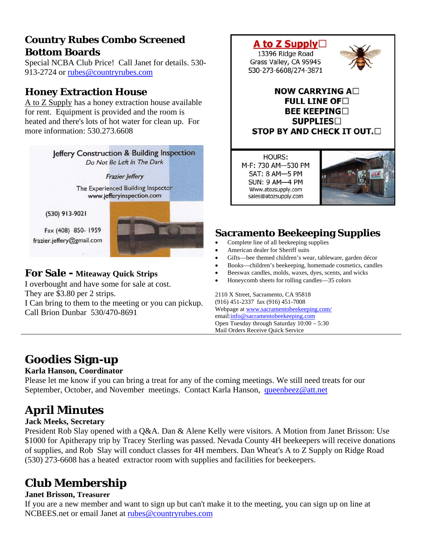## **Country Rubes Combo Screened Bottom Boards**

Special NCBA Club Price! Call Janet [f](mailto:rubes@countryrubes.com)or details. 530- 913-2724 or [rubes@countryrubes.com](mailto:rubes@countryrubes.com)

## **Honey Extraction House**

A to Z Supply has a honey extraction house available for rent. Equipment is provided and the room is heated and there's lots of hot water for clean up. For more information: 530.273.6608



They are \$3.80 per 2 strips.

I Can bring to them to the meeting or you can pickup. Call Brion Dunbar 530/470-8691



## **Sacramento Beekeeping Supplies**

- Complete line of all beekeeping supplies
- American dealer for Sheriff suits
- Gifts—bee themed children's wear, tableware, garden décor
- Books—children's beekeeping, homemade cosmetics, candles
- Beeswax candles, molds, waxes, dyes, scents, and wicks
- Honeycomb sheets for rolling candles—35 colors

2110 X Street, Sacramento, CA 95818 (916) 451-2337 fax (916) 451-7008 Webpage at [www.sacramentobeekeeping.com/](http://www.sacramentobeekeeping.com/) email:[info@sacramentobeekeeping.com](mailto:%20info@sacramentobeekeeping.com) Open Tuesday through Saturday 10:00 – 5:30 Mail Orders Receive Quick Service

## **Goodies Sign-up**

### **Karla Hanson, Coordinator**

Please let me know if you can bring a treat for any of the coming meetings. We still need treats for our September, October, and November meetings. Contact Karla Hanson, [queenbeez@att.net](mailto:queenbeez@att.net)

# **April Minutes**

### **Jack Meeks, Secretary**

President Rob Slay opened with a Q&A. Dan & Alene Kelly were visitors. A Motion from Janet Brisson: Use \$1000 for Apitherapy trip by Tracey Sterling was passed. Nevada County 4H beekeepers will receive donations of supplies, and Rob Slay will conduct classes for 4H members. Dan Wheat's A to Z Supply on Ridge Road (530) 273-6608 has a heated extractor room with supplies and facilities for beekeepers.

# **Club Membership**

### **Janet Brisson, Treasurer**

If you are a new member and want to sign up but can't make it to the meeting, you can sign up on line at NCBEES.net or email Janet at [rubes@countryrubes.com](mailto:rubes@countryrubes.com)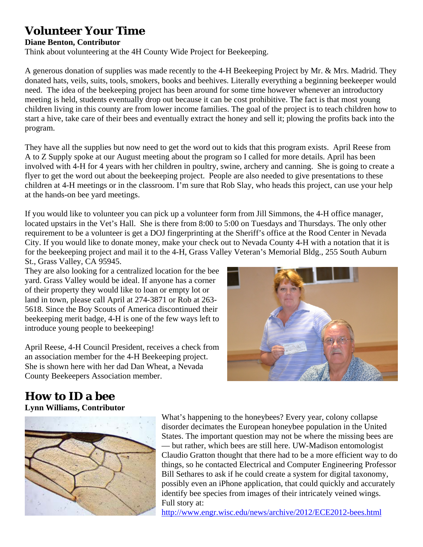## **Volunteer Your Time**

### **Diane Benton, Contributor**

Think about volunteering at the 4H County Wide Project for Beekeeping.

A generous donation of supplies was made recently to the 4-H Beekeeping Project by Mr. & Mrs. Madrid. They donated hats, veils, suits, tools, smokers, books and beehives. Literally everything a beginning beekeeper would need. The idea of the beekeeping project has been around for some time however whenever an introductory meeting is held, students eventually drop out because it can be cost prohibitive. The fact is that most young children living in this county are from lower income families. The goal of the project is to teach children how to start a hive, take care of their bees and eventually extract the honey and sell it; plowing the profits back into the program.

They have all the supplies but now need to get the word out to kids that this program exists. April Reese from A to Z Supply spoke at our August meeting about the program so I called for more details. April has been involved with 4-H for 4 years with her children in poultry, swine, archery and canning. She is going to create a flyer to get the word out about the beekeeping project. People are also needed to give presentations to these children at 4-H meetings or in the classroom. I'm sure that Rob Slay, who heads this project, can use your help at the hands-on bee yard meetings.

If you would like to volunteer you can pick up a volunteer form from Jill Simmons, the 4-H office manager, located upstairs in the Vet's Hall. She is there from 8:00 to 5:00 on Tuesdays and Thursdays. The only other requirement to be a volunteer is get a DOJ fingerprinting at the Sheriff's office at the Rood Center in Nevada City. If you would like to donate money, make your check out to Nevada County 4-H with a notation that it is for the beekeeping project and mail it to the 4-H, Grass Valley Veteran's Memorial Bldg., 255 South Auburn St., Grass Valley, CA 95945.

They are also looking for a centralized location for the bee yard. Grass Valley would be ideal. If anyone has a corner of their property they would like to loan or empty lot or land in town, please call April at 274-3871 or Rob at 263- 5618. Since the Boy Scouts of America discontinued their beekeeping merit badge, 4-H is one of the few ways left to introduce young people to beekeeping!

April Reese, 4-H Council President, receives a check from an association member for the 4-H Beekeeping project. She is shown here with her dad Dan Wheat, a Nevada County Beekeepers Association member.



# **How to ID a bee**

**Lynn Williams, Contributor**



What's happening to the honeybees? Every year, colony collapse disorder decimates the European honeybee population in the United States. The important question may not be where the missing bees are — but rather, which bees are still here. UW-Madison entomologist Claudio Gratton thought that there had to be a more efficient way to do things, so he contacted Electrical and Computer Engineering Professor Bill Sethares to ask if he could create a system for digital taxonomy, possibly even an iPhone application, that could quickly and accurately identify bee species from images of their intricately veined wings. Full story at:

<http://www.engr.wisc.edu/news/archive/2012/ECE2012-bees.html>